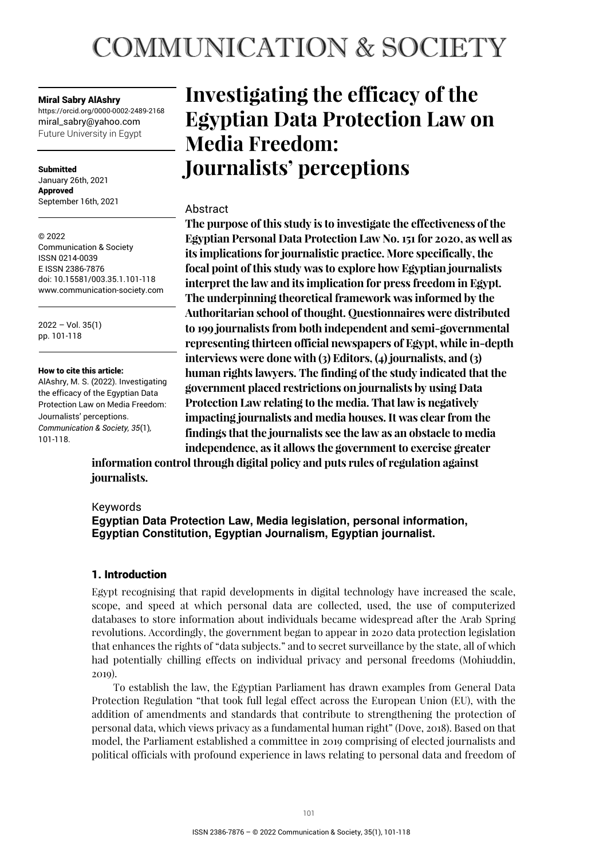# **COMMUNICATION & SOCIETY**

#### Miral Sabry AlAshry

https://orcid.org/0000-0002-2489-2168 miral\_sabry@yahoo.com Future University in Egypt

**Submitted** January 26th, 2021 Approved September 16th, 2021

© 2022 Communication & Society ISSN 0214-0039 E ISSN 2386-7876 doi: 10.15581/003.35.1.101-118 www.communication-society.com

2022 – Vol. 35(1) pp. 101-118

#### How to cite this article:

AlAshry, M. S. (2022). Investigating the efficacy of the Egyptian Data Protection Law on Media Freedom: Journalists' perceptions. *Communication & Society, 35*(1)*,* 101-118.

# **Investigating the efficacy of the Egyptian Data Protection Law on Media Freedom: Journalists' perceptions**

# Abstract

**The purpose of this study is to investigate the effectiveness of the Egyptian Personal Data Protection Law No. 151 for 2020, as well as its implications for journalistic practice. More specifically, the focal point of this study was to explore how Egyptian journalists interpret the law and its implication for press freedom in Egypt. The underpinning theoretical framework was informed by the Authoritarian school of thought. Questionnaires were distributed to 199 journalists from both independent and semi-governmental representing thirteen official newspapers of Egypt, while in-depth interviews were done with (3) Editors, (4) journalists, and (3) human rights lawyers. The finding of the study indicated that the government placed restrictions on journalists by using Data Protection Law relating to the media. That law is negatively impacting journalists and media houses. It was clear from the findings that the journalists see the law as an obstacle to media independence, as it allows the government to exercise greater** 

**information control through digital policy and puts rules of regulation against journalists.** 

# Keywords

# **Egyptian Data Protection Law, Media legislation, personal information, Egyptian Constitution, Egyptian Journalism, Egyptian journalist.**

# 1. Introduction

Egypt recognising that rapid developments in digital technology have increased the scale, scope, and speed at which personal data are collected, used, the use of computerized databases to store information about individuals became widespread after the Arab Spring revolutions. Accordingly, the government began to appear in 2020 data protection legislation that enhances the rights of "data subjects." and to secret surveillance by the state, all of which had potentially chilling effects on individual privacy and personal freedoms (Mohiuddin, 2019).

To establish the law, the Egyptian Parliament has drawn examples from General Data Protection Regulation "that took full legal effect across the European Union (EU), with the addition of amendments and standards that contribute to strengthening the protection of personal data, which views privacy as a fundamental human right" (Dove, 2018). Based on that model, the Parliament established a committee in 2019 comprising of elected journalists and political officials with profound experience in laws relating to personal data and freedom of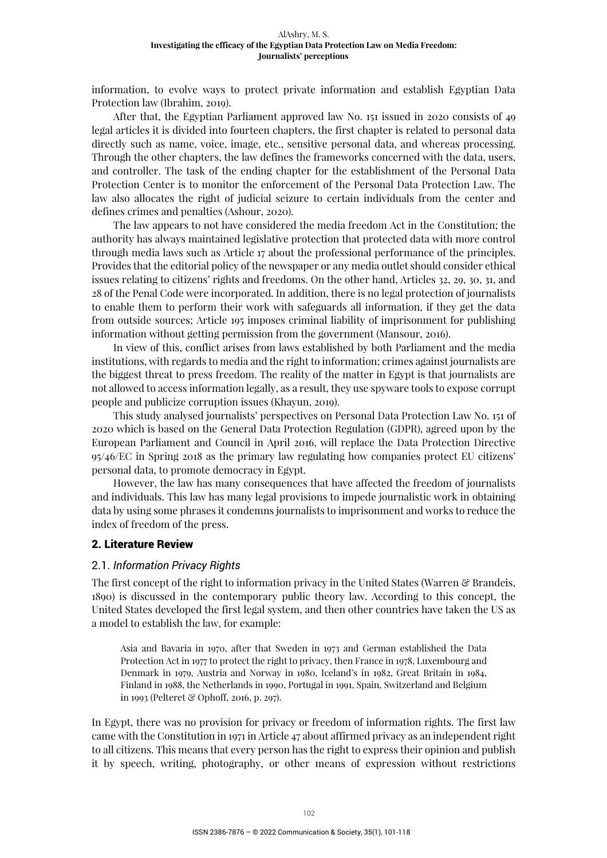information, to evolve ways to protect private information and establish Egyptian Data Protection law (Ibrahim, 2019).

After that, the Egyptian Parliament approved law No. 151 issued in 2020 consists of 49 legal articles it is divided into fourteen chapters, the first chapter is related to personal data directly such as name, voice, image, etc., sensitive personal data, and whereas processing. Through the other chapters, the law defines the frameworks concerned with the data, users, and controller. The task of the ending chapter for the establishment of the Personal Data Protection Center is to monitor the enforcement of the Personal Data Protection Law. The law also allocates the right of judicial seizure to certain individuals from the center and defines crimes and penalties (Ashour, 2020).

The law appears to not have considered the media freedom Act in the Constitution; the authority has always maintained legislative protection that protected data with more control through media laws such as Article 17 about the professional performance of the principles. Provides that the editorial policy of the newspaper or any media outlet should consider ethical issues relating to citizens' rights and freedoms. On the other hand, Articles 32, 29, 30, 31, and 28 of the Penal Code were incorporated. In addition, there is no legal protection of journalists to enable them to perform their work with safeguards all information, if they get the data from outside sources; Article 195 imposes criminal liability of imprisonment for publishing information without getting permission from the government (Mansour, 2016).

In view of this, conflict arises from laws established by both Parliament and the media institutions, with regards to media and the right to information; crimes against journalists are the biggest threat to press freedom. The reality of the matter in Egypt is that journalists are not allowed to access information legally, as a result, they use spyware tools to expose corrupt people and publicize corruption issues (Khayun, 2019).

This study analysed journalists' perspectives on Personal Data Protection Law No. 151 of 2020 which is based on the General Data Protection Regulation (GDPR), agreed upon by the European Parliament and Council in April 2016, will replace the Data Protection Directive 95/46/EC in Spring 2018 as the primary law regulating how companies protect EU citizens' personal data, to promote democracy in Egypt.

However, the law has many consequences that have affected the freedom of journalists and individuals. This law has many legal provisions to impede journalistic work in obtaining data by using some phrases it condemns journalists to imprisonment and works to reduce the index of freedom of the press.

#### 2. Literature Review

#### 2.1. *Information Privacy Rights*

The first concept of the right to information privacy in the United States (Warren & Brandeis, 1890) is discussed in the contemporary public theory law. According to this concept, the United States developed the first legal system, and then other countries have taken the US as a model to establish the law, for example:

Asia and Bavaria in 1970, after that Sweden in 1973 and German established the Data Protection Act in 1977 to protect the right to privacy, then France in 1978, Luxembourg and Denmark in 1979, Austria and Norway in 1980, Iceland's in 1982, Great Britain in 1984, Finland in 1988, the Netherlands in 1990, Portugal in 1991, Spain, Switzerland and Belgium in 1993 (Pelteret & Ophoff, 2016, p. 297).

In Egypt, there was no provision for privacy or freedom of information rights. The first law came with the Constitution in 1971 in Article 47 about affirmed privacy as an independent right to all citizens. This means that every person has the right to express their opinion and publish it by speech, writing, photography, or other means of expression without restrictions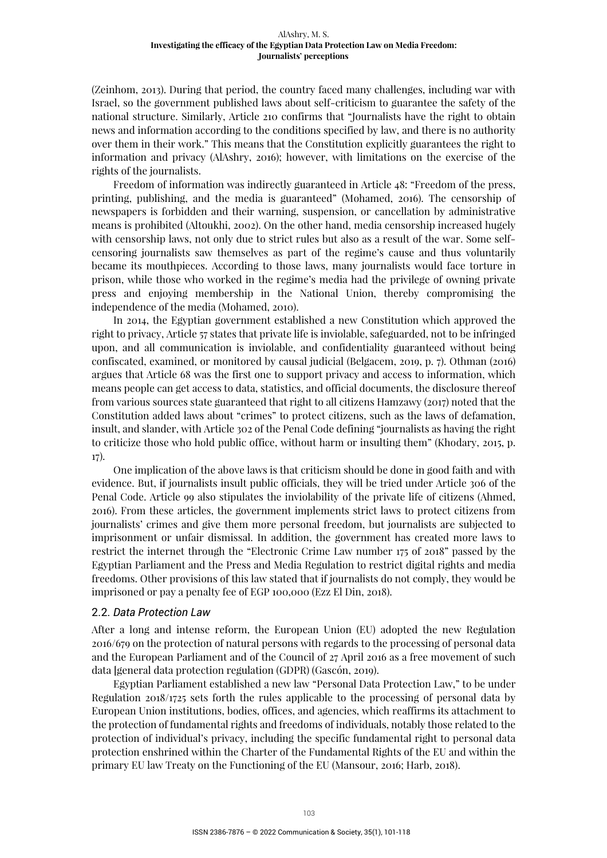(Zeinhom, 2013). During that period, the country faced many challenges, including war with Israel, so the government published laws about self-criticism to guarantee the safety of the national structure. Similarly, Article 210 confirms that "Journalists have the right to obtain news and information according to the conditions specified by law, and there is no authority over them in their work." This means that the Constitution explicitly guarantees the right to information and privacy (AlAshry, 2016); however, with limitations on the exercise of the rights of the journalists.

Freedom of information was indirectly guaranteed in Article 48: "Freedom of the press, printing, publishing, and the media is guaranteed" (Mohamed, 2016). The censorship of newspapers is forbidden and their warning, suspension, or cancellation by administrative means is prohibited (Altoukhi, 2002). On the other hand, media censorship increased hugely with censorship laws, not only due to strict rules but also as a result of the war. Some selfcensoring journalists saw themselves as part of the regime's cause and thus voluntarily became its mouthpieces. According to those laws, many journalists would face torture in prison, while those who worked in the regime's media had the privilege of owning private press and enjoying membership in the National Union, thereby compromising the independence of the media (Mohamed, 2010).

In 2014, the Egyptian government established a new Constitution which approved the right to privacy, Article 57 states that private life is inviolable, safeguarded, not to be infringed upon, and all communication is inviolable, and confidentiality guaranteed without being confiscated, examined, or monitored by causal judicial (Belgacem, 2019, p. 7). Othman (2016) argues that Article 68 was the first one to support privacy and access to information, which means people can get access to data, statistics, and official documents, the disclosure thereof from various sources state guaranteed that right to all citizens Hamzawy (2017) noted that the Constitution added laws about "crimes" to protect citizens, such as the laws of defamation, insult, and slander, with Article 302 of the Penal Code defining "journalists as having the right to criticize those who hold public office, without harm or insulting them" (Khodary, 2015, p. 17).

One implication of the above laws is that criticism should be done in good faith and with evidence. But, if journalists insult public officials, they will be tried under Article 306 of the Penal Code. Article 99 also stipulates the inviolability of the private life of citizens (Ahmed, 2016). From these articles, the government implements strict laws to protect citizens from journalists' crimes and give them more personal freedom, but journalists are subjected to imprisonment or unfair dismissal. In addition, the government has created more laws to restrict the internet through the "Electronic Crime Law number 175 of 2018" passed by the Egyptian Parliament and the Press and Media Regulation to restrict digital rights and media freedoms. Other provisions of this law stated that if journalists do not comply, they would be imprisoned or pay a penalty fee of EGP 100,000 (Ezz El Din, 2018).

#### 2.2. *Data Protection Law*

After a long and intense reform, the European Union (EU) adopted the new Regulation 2016/679 on the protection of natural persons with regards to the processing of personal data and the European Parliament and of the Council of 27 April 2016 as a free movement of such data [general data protection regulation (GDPR) (Gascón, 2019).

Egyptian Parliament established a new law "Personal Data Protection Law," to be under Regulation 2018/1725 sets forth the rules applicable to the processing of personal data by European Union institutions, bodies, offices, and agencies, which reaffirms its attachment to the protection of fundamental rights and freedoms of individuals, notably those related to the protection of individual's privacy, including the specific fundamental right to personal data protection enshrined within the Charter of the Fundamental Rights of the EU and within the primary EU law Treaty on the Functioning of the EU (Mansour, 2016; Harb, 2018).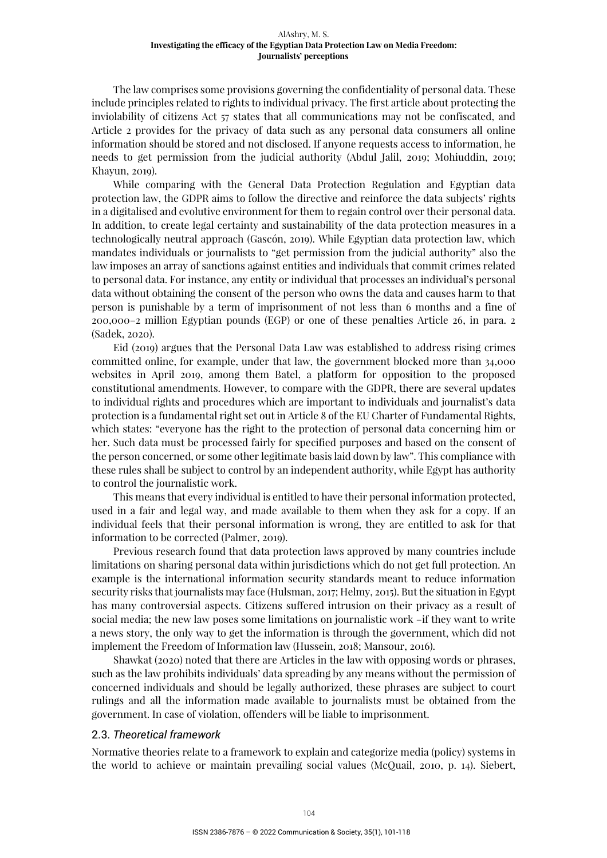The law comprises some provisions governing the confidentiality of personal data. These include principles related to rights to individual privacy. The first article about protecting the inviolability of citizens Act 57 states that all communications may not be confiscated, and Article 2 provides for the privacy of data such as any personal data consumers all online information should be stored and not disclosed. If anyone requests access to information, he needs to get permission from the judicial authority (Abdul Jalil, 2019; Mohiuddin, 2019; Khayun, 2019).

While comparing with the General Data Protection Regulation and Egyptian data protection law, the GDPR aims to follow the directive and reinforce the data subjects' rights in a digitalised and evolutive environment for them to regain control over their personal data. In addition, to create legal certainty and sustainability of the data protection measures in a technologically neutral approach (Gascón, 2019). While Egyptian data protection law, which mandates individuals or journalists to "get permission from the judicial authority" also the law imposes an array of sanctions against entities and individuals that commit crimes related to personal data. For instance, any entity or individual that processes an individual's personal data without obtaining the consent of the person who owns the data and causes harm to that person is punishable by a term of imprisonment of not less than 6 months and a fine of 200,000–2 million Egyptian pounds (EGP) or one of these penalties Article 26, in para. 2 (Sadek, 2020).

Eid (2019) argues that the Personal Data Law was established to address rising crimes committed online, for example, under that law, the government blocked more than 34,000 websites in April 2019, among them Batel, a platform for opposition to the proposed constitutional amendments. However, to compare with the GDPR, there are several updates to individual rights and procedures which are important to individuals and journalist's data protection is a fundamental right set out in Article 8 of the EU Charter of Fundamental Rights, which states: "everyone has the right to the protection of personal data concerning him or her. Such data must be processed fairly for specified purposes and based on the consent of the person concerned, or some other legitimate basis laid down by law". This compliance with these rules shall be subject to control by an independent authority, while Egypt has authority to control the journalistic work.

This means that every individual is entitled to have their personal information protected, used in a fair and legal way, and made available to them when they ask for a copy. If an individual feels that their personal information is wrong, they are entitled to ask for that information to be corrected (Palmer, 2019).

Previous research found that data protection laws approved by many countries include limitations on sharing personal data within jurisdictions which do not get full protection. An example is the international information security standards meant to reduce information security risks that journalists may face (Hulsman, 2017; Helmy, 2015). But the situation in Egypt has many controversial aspects. Citizens suffered intrusion on their privacy as a result of social media; the new law poses some limitations on journalistic work –if they want to write a news story, the only way to get the information is through the government, which did not implement the Freedom of Information law (Hussein, 2018; Mansour, 2016).

Shawkat (2020) noted that there are Articles in the law with opposing words or phrases, such as the law prohibits individuals' data spreading by any means without the permission of concerned individuals and should be legally authorized, these phrases are subject to court rulings and all the information made available to journalists must be obtained from the government. In case of violation, offenders will be liable to imprisonment.

#### 2.3. *Theoretical framework*

Normative theories relate to a framework to explain and categorize media (policy) systems in the world to achieve or maintain prevailing social values (McQuail, 2010, p. 14). Siebert,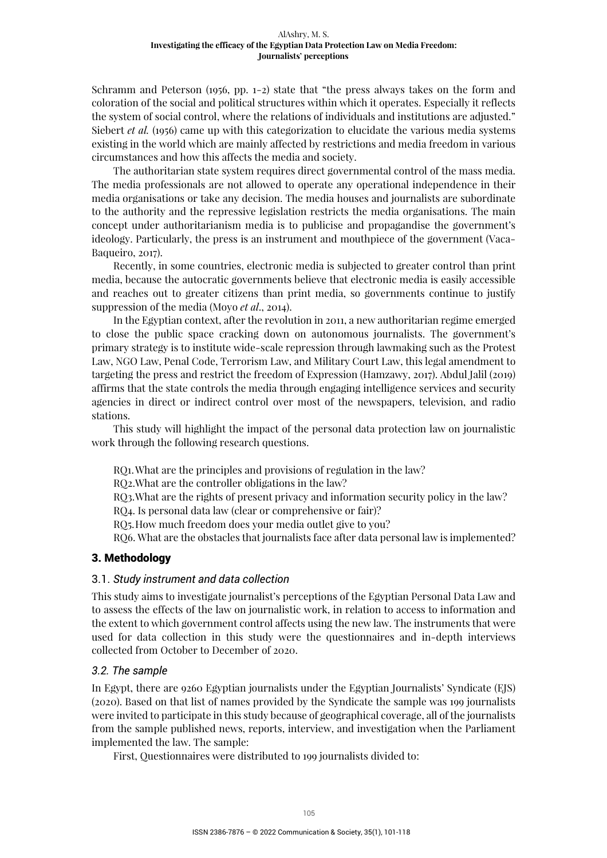Schramm and Peterson (1956, pp. 1-2) state that "the press always takes on the form and coloration of the social and political structures within which it operates. Especially it reflects the system of social control, where the relations of individuals and institutions are adjusted." Siebert *et al.* (1956) came up with this categorization to elucidate the various media systems existing in the world which are mainly affected by restrictions and media freedom in various circumstances and how this affects the media and society.

The authoritarian state system requires direct governmental control of the mass media. The media professionals are not allowed to operate any operational independence in their media organisations or take any decision. The media houses and journalists are subordinate to the authority and the repressive legislation restricts the media organisations. The main concept under authoritarianism media is to publicise and propagandise the government's ideology. Particularly, the press is an instrument and mouthpiece of the government (Vaca-Baqueiro, 2017).

Recently, in some countries, electronic media is subjected to greater control than print media, because the autocratic governments believe that electronic media is easily accessible and reaches out to greater citizens than print media, so governments continue to justify suppression of the media (Moyo *et al*., 2014).

In the Egyptian context, after the revolution in 2011, a new authoritarian regime emerged to close the public space cracking down on autonomous journalists. The government's primary strategy is to institute wide-scale repression through lawmaking such as the Protest Law, NGO Law, Penal Code, Terrorism Law, and Military Court Law, this legal amendment to targeting the press and restrict the freedom of Expression (Hamzawy, 2017). Abdul Jalil (2019) affirms that the state controls the media through engaging intelligence services and security agencies in direct or indirect control over most of the newspapers, television, and radio stations.

This study will highlight the impact of the personal data protection law on journalistic work through the following research questions.

RQ1. What are the principles and provisions of regulation in the law?

RQ2.What are the controller obligations in the law?

RQ3. What are the rights of present privacy and information security policy in the law?

RQ4. Is personal data law (clear or comprehensive or fair)?

RQ5. How much freedom does your media outlet give to you?

RQ6. What are the obstacles that journalists face after data personal law is implemented?

### 3. Methodology

#### 3.1. *Study instrument and data collection*

This study aims to investigate journalist's perceptions of the Egyptian Personal Data Law and to assess the effects of the law on journalistic work, in relation to access to information and the extent to which government control affects using the new law. The instruments that were used for data collection in this study were the questionnaires and in-depth interviews collected from October to December of 2020.

#### *3.2. The sample*

In Egypt, there are 9260 Egyptian journalists under the Egyptian Journalists' Syndicate (EJS) (2020). Based on that list of names provided by the Syndicate the sample was 199 journalists were invited to participate in this study because of geographical coverage, all of the journalists from the sample published news, reports, interview, and investigation when the Parliament implemented the law. The sample:

First, Questionnaires were distributed to 199 journalists divided to: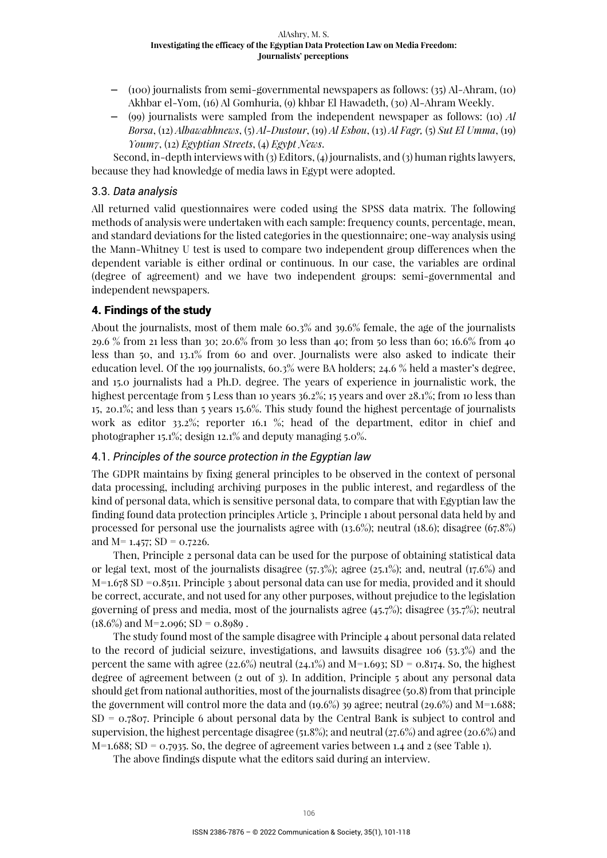- − (100) journalists from semi-governmental newspapers as follows: (35) Al-Ahram, (10) Akhbar el-Yom, (16) Al Gomhuria, (9) khbar El Hawadeth, (30) Al-Ahram Weekly.
- − (99) journalists were sampled from the independent newspaper as follows: (10) *Al Borsa*, (12) *Albawabhnews*, (5) *Al-Dustour*, (19) *Al Esbou*, (13) *Al Fagr,* (5) *Sut El Umma*, (19) *Youm7*, (12) *Egyptian Streets*, (4) *Egypt News*.

Second, in-depth interviews with (3) Editors, (4) journalists, and (3) human rights lawyers, because they had knowledge of media laws in Egypt were adopted.

#### 3.3. *Data analysis*

All returned valid questionnaires were coded using the SPSS data matrix. The following methods of analysis were undertaken with each sample: frequency counts, percentage, mean, and standard deviations for the listed categories in the questionnaire; one-way analysis using the Mann-Whitney U test is used to compare two independent group differences when the dependent variable is either ordinal or continuous. In our case, the variables are ordinal (degree of agreement) and we have two independent groups: semi-governmental and independent newspapers.

# 4. Findings of the study

About the journalists, most of them male 60.3% and 39.6% female, the age of the journalists 29.6 % from 21 less than 30; 20.6% from 30 less than 40; from 50 less than 60; 16.6% from 40 less than 50, and 13.1% from 60 and over. Journalists were also asked to indicate their education level. Of the 199 journalists, 60.3% were BA holders; 24.6 % held a master's degree, and 15.0 journalists had a Ph.D. degree. The years of experience in journalistic work, the highest percentage from 5 Less than 10 years 36.2%; 15 years and over 28.1%; from 10 less than 15, 20.1%; and less than 5 years 15.6%. This study found the highest percentage of journalists work as editor 33.2%; reporter 16.1 %; head of the department, editor in chief and photographer 15.1%; design 12.1% and deputy managing 5.0%.

#### 4.1. *Principles of the source protection in the Egyptian law*

The GDPR maintains by fixing general principles to be observed in the context of personal data processing, including archiving purposes in the public interest, and regardless of the kind of personal data, which is sensitive personal data, to compare that with Egyptian law the finding found data protection principles Article 3, Principle 1 about personal data held by and processed for personal use the journalists agree with  $(13.6\%)$ ; neutral  $(18.6)$ ; disagree  $(67.8\%)$ and  $M=$  1.457; SD = 0.7226.

Then, Principle 2 personal data can be used for the purpose of obtaining statistical data or legal text, most of the journalists disagree  $(57.3\%)$ ; agree  $(25.1\%)$ ; and, neutral  $(17.6\%)$  and M=1.678 SD =0.8511. Principle 3 about personal data can use for media, provided and it should be correct, accurate, and not used for any other purposes, without prejudice to the legislation governing of press and media, most of the journalists agree (45.7%); disagree (35.7%); neutral  $(18.6\%)$  and M=2.096; SD = 0.8989.

The study found most of the sample disagree with Principle 4 about personal data related to the record of judicial seizure, investigations, and lawsuits disagree 106 (53.3%) and the percent the same with agree (22.6%) neutral (24.1%) and M=1.693; SD =  $0.8174$ . So, the highest degree of agreement between (2 out of 3). In addition, Principle 5 about any personal data should get from national authorities, most of the journalists disagree (50.8) from that principle the government will control more the data and  $(19.6\%)$  39 agree; neutral  $(29.6\%)$  and M=1.688;  $SD = 0.7807$ . Principle 6 about personal data by the Central Bank is subject to control and supervision, the highest percentage disagree (51.8%); and neutral (27.6%) and agree (20.6%) and  $M=1.688$ ; SD = 0.7935. So, the degree of agreement varies between 1.4 and 2 (see Table 1).

The above findings dispute what the editors said during an interview.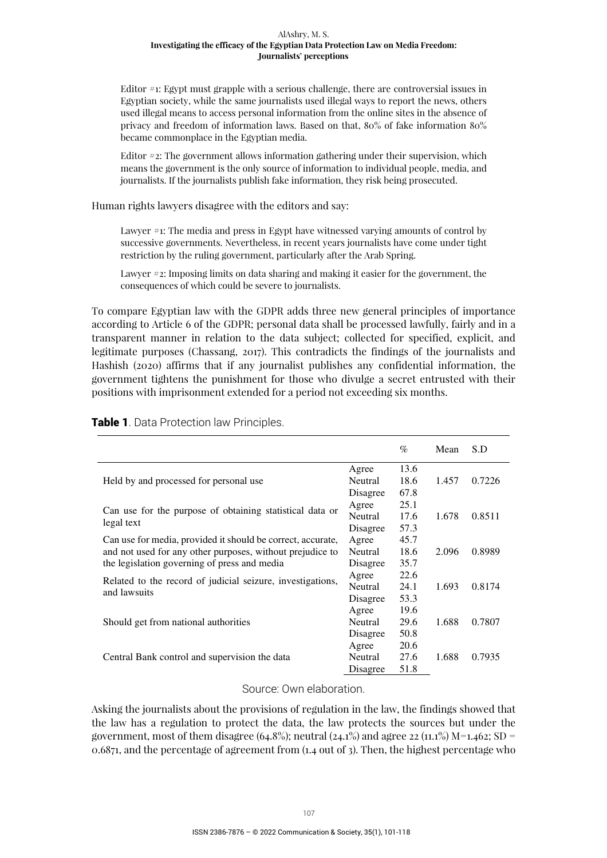Editor #1: Egypt must grapple with a serious challenge, there are controversial issues in Egyptian society, while the same journalists used illegal ways to report the news, others used illegal means to access personal information from the online sites in the absence of privacy and freedom of information laws. Based on that, 80% of fake information 80% became commonplace in the Egyptian media.

Editor #2: The government allows information gathering under their supervision, which means the government is the only source of information to individual people, media, and journalists. If the journalists publish fake information, they risk being prosecuted.

Human rights lawyers disagree with the editors and say:

Lawyer  $\#_1$ : The media and press in Egypt have witnessed varying amounts of control by successive governments. Nevertheless, in recent years journalists have come under tight restriction by the ruling government, particularly after the Arab Spring.

Lawyer #2: Imposing limits on data sharing and making it easier for the government, the consequences of which could be severe to journalists.

To compare Egyptian law with the GDPR adds three new general principles of importance according to Article 6 of the GDPR; personal data shall be processed lawfully, fairly and in a transparent manner in relation to the data subject; collected for specified, explicit, and legitimate purposes (Chassang, 2017). This contradicts the findings of the journalists and Hashish (2020) affirms that if any journalist publishes any confidential information, the government tightens the punishment for those who divulge a secret entrusted with their positions with imprisonment extended for a period not exceeding six months.

|                                                                            |                | $\%$ | Mean  | S.D    |
|----------------------------------------------------------------------------|----------------|------|-------|--------|
|                                                                            | Agree          | 13.6 |       |        |
| Held by and processed for personal use                                     | <b>Neutral</b> | 18.6 | 1.457 | 0.7226 |
|                                                                            | Disagree       | 67.8 |       |        |
| Can use for the purpose of obtaining statistical data or<br>legal text     | Agree          | 25.1 |       |        |
|                                                                            | Neutral        | 17.6 | 1.678 | 0.8511 |
|                                                                            | Disagree       | 57.3 |       |        |
| Can use for media, provided it should be correct, accurate,                | Agree          | 45.7 |       |        |
| and not used for any other purposes, without prejudice to                  | Neutral        | 18.6 | 2.096 | 0.8989 |
| the legislation governing of press and media                               | Disagree       | 35.7 |       |        |
| Related to the record of judicial seizure, investigations,<br>and lawsuits | Agree          | 22.6 |       |        |
|                                                                            | Neutral        | 24.1 | 1.693 | 0.8174 |
|                                                                            | Disagree       | 53.3 |       |        |
|                                                                            | Agree          | 19.6 |       |        |
| Should get from national authorities                                       | Neutral        | 29.6 | 1.688 | 0.7807 |
|                                                                            | Disagree       | 50.8 |       |        |
|                                                                            | Agree          | 20.6 |       |        |
| Central Bank control and supervision the data                              | Neutral        | 27.6 | 1.688 | 0.7935 |
|                                                                            | Disagree       | 51.8 |       |        |

**Table 1**. Data Protection law Principles.

#### Source: Own elaboration.

Asking the journalists about the provisions of regulation in the law, the findings showed that the law has a regulation to protect the data, the law protects the sources but under the government, most of them disagree (64.8%); neutral (24.1%) and agree 22 (11.1%) M=1.462; SD = 0.6871, and the percentage of agreement from (1.4 out of 3). Then, the highest percentage who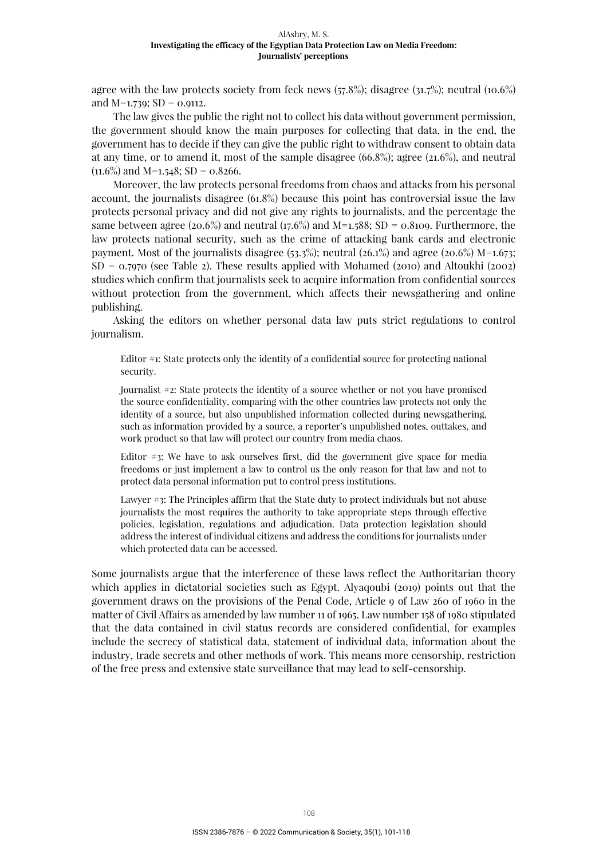agree with the law protects society from feck news  $(57.8\%)$ ; disagree  $(31.7\%)$ ; neutral  $(10.6\%)$ and  $M=1.739$ ; SD = 0.9112.

The law gives the public the right not to collect his data without government permission, the government should know the main purposes for collecting that data, in the end, the government has to decide if they can give the public right to withdraw consent to obtain data at any time, or to amend it, most of the sample disagree (66.8%); agree (21.6%), and neutral  $(11.6\%)$  and M=1.548; SD = 0.8266.

Moreover, the law protects personal freedoms from chaos and attacks from his personal account, the journalists disagree (61.8%) because this point has controversial issue the law protects personal privacy and did not give any rights to journalists, and the percentage the same between agree (20.6%) and neutral (17.6%) and  $M=1.588$ ; SD = 0.8109. Furthermore, the law protects national security, such as the crime of attacking bank cards and electronic payment. Most of the journalists disagree (53.3%); neutral (26.1%) and agree (20.6%)  $M=1.673$ ;  $SD = 0.7970$  (see Table 2). These results applied with Mohamed (2010) and Altoukhi (2002) studies which confirm that journalists seek to acquire information from confidential sources without protection from the government, which affects their newsgathering and online publishing.

Asking the editors on whether personal data law puts strict regulations to control journalism.

Editor #1: State protects only the identity of a confidential source for protecting national security.

Journalist #2: State protects the identity of a source whether or not you have promised the source confidentiality, comparing with the other countries law protects not only the identity of a source, but also unpublished information collected during newsgathering, such as information provided by a source, a reporter's unpublished notes, outtakes, and work product so that law will protect our country from media chaos.

Editor #3: We have to ask ourselves first, did the government give space for media freedoms or just implement a law to control us the only reason for that law and not to protect data personal information put to control press institutions.

Lawyer #3: The Principles affirm that the State duty to protect individuals but not abuse journalists the most requires the authority to take appropriate steps through effective policies, legislation, regulations and adjudication. Data protection legislation should address the interest of individual citizens and address the conditions for journalists under which protected data can be accessed.

Some journalists argue that the interference of these laws reflect the Authoritarian theory which applies in dictatorial societies such as Egypt. Alyaqoubi (2019) points out that the government draws on the provisions of the Penal Code, Article 9 of Law 260 of 1960 in the matter of Civil Affairs as amended by law number 11 of 1965. Law number 158 of 1980 stipulated that the data contained in civil status records are considered confidential, for examples include the secrecy of statistical data, statement of individual data, information about the industry, trade secrets and other methods of work. This means more censorship, restriction of the free press and extensive state surveillance that may lead to self-censorship.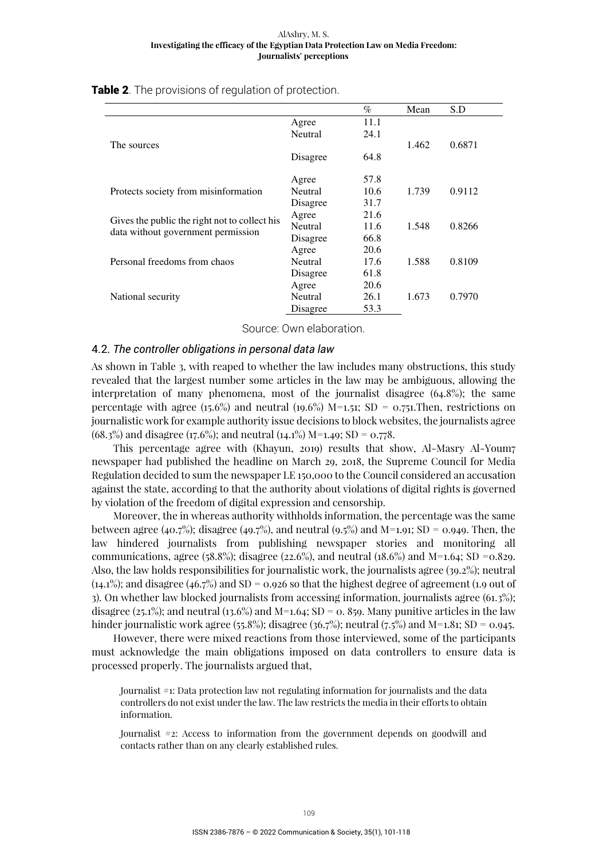|                                                                                     |                | $\%$ | Mean  | S.D    |
|-------------------------------------------------------------------------------------|----------------|------|-------|--------|
| The sources                                                                         | Agree          | 11.1 |       |        |
|                                                                                     | <b>Neutral</b> | 24.1 |       |        |
|                                                                                     |                |      | 1.462 | 0.6871 |
|                                                                                     | Disagree       | 64.8 |       |        |
|                                                                                     |                |      |       |        |
| Protects society from misinformation                                                | Agree          | 57.8 |       |        |
|                                                                                     | Neutral        | 10.6 | 1.739 | 0.9112 |
|                                                                                     | Disagree       | 31.7 |       |        |
| Gives the public the right not to collect his<br>data without government permission | Agree          | 21.6 |       |        |
|                                                                                     | Neutral        | 11.6 | 1.548 | 0.8266 |
|                                                                                     | Disagree       | 66.8 |       |        |
|                                                                                     | Agree          | 20.6 |       |        |
| Personal freedoms from chaos                                                        | <b>Neutral</b> | 17.6 | 1.588 | 0.8109 |
|                                                                                     | Disagree       | 61.8 |       |        |
|                                                                                     | Agree          | 20.6 |       |        |
| National security                                                                   | <b>Neutral</b> | 26.1 | 1.673 | 0.7970 |
|                                                                                     | Disagree       | 53.3 |       |        |

Table 2. The provisions of regulation of protection.

Source: Own elaboration.

#### 4.2. *The controller obligations in personal data law*

As shown in Table 3, with reaped to whether the law includes many obstructions, this study revealed that the largest number some articles in the law may be ambiguous, allowing the interpretation of many phenomena, most of the journalist disagree (64.8%); the same percentage with agree (15.6%) and neutral (19.6%) M=1.51; SD = 0.751. Then, restrictions on journalistic work for example authority issue decisions to block websites, the journalists agree  $(68.3\%)$  and disagree (17.6%); and neutral (14.1%) M=1.49; SD = 0.778.

This percentage agree with (Khayun, 2019) results that show, Al-Masry Al-Youm7 newspaper had published the headline on March 29, 2018, the Supreme Council for Media Regulation decided to sum the newspaper LE 150,000 to the Council considered an accusation against the state, according to that the authority about violations of digital rights is governed by violation of the freedom of digital expression and censorship.

Moreover, the in whereas authority withholds information, the percentage was the same between agree (40.7%); disagree (49.7%), and neutral (9.5%) and M=1.91; SD = 0.949. Then, the law hindered journalists from publishing newspaper stories and monitoring all communications, agree (58.8%); disagree (22.6%), and neutral (18.6%) and M=1.64; SD =0.829. Also, the law holds responsibilities for journalistic work, the journalists agree (39.2%); neutral  $(14.1\%)$ ; and disagree  $(46.7\%)$  and SD = 0.926 so that the highest degree of agreement (1.9 out of 3). On whether law blocked journalists from accessing information, journalists agree (61.3%); disagree (25.1%); and neutral (13.6%) and M=1.64; SD = 0.859. Many punitive articles in the law hinder journalistic work agree (55.8%); disagree (36.7%); neutral (7.5%) and M=1.81; SD = 0.945.

However, there were mixed reactions from those interviewed, some of the participants must acknowledge the main obligations imposed on data controllers to ensure data is processed properly. The journalists argued that,

Journalist #1: Data protection law not regulating information for journalists and the data controllers do not exist under the law. The law restricts the media in their efforts to obtain information.

Journalist #2: Access to information from the government depends on goodwill and contacts rather than on any clearly established rules.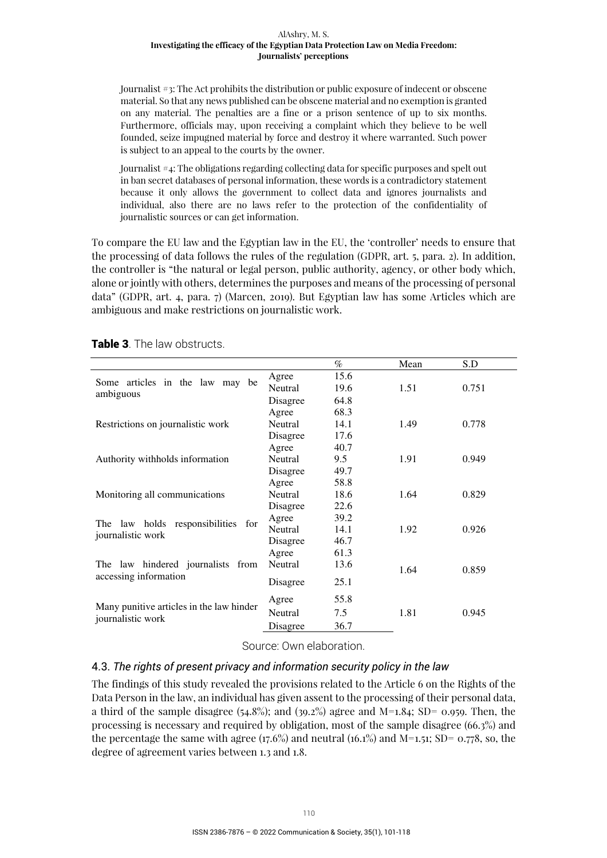Journalist #3: The Act prohibits the distribution or public exposure of indecent or obscene material. So that any news published can be obscene material and no exemption is granted on any material. The penalties are a fine or a prison sentence of up to six months. Furthermore, officials may, upon receiving a complaint which they believe to be well founded, seize impugned material by force and destroy it where warranted. Such power is subject to an appeal to the courts by the owner.

Journalist #4: The obligations regarding collecting data for specific purposes and spelt out in ban secret databases of personal information, these words is a contradictory statement because it only allows the government to collect data and ignores journalists and individual, also there are no laws refer to the protection of the confidentiality of journalistic sources or can get information.

To compare the EU law and the Egyptian law in the EU, the 'controller' needs to ensure that the processing of data follows the rules of the regulation (GDPR, art. 5, para. 2). In addition, the controller is "the natural or legal person, public authority, agency, or other body which, alone or jointly with others, determines the purposes and means of the processing of personal data" (GDPR, art. 4, para. 7) (Marcen, 2019). But Egyptian law has some Articles which are ambiguous and make restrictions on journalistic work.

|                                                               |          | $\%$ | Mean | S.D   |
|---------------------------------------------------------------|----------|------|------|-------|
| Some articles in the law may be<br>ambiguous                  | Agree    | 15.6 |      |       |
|                                                               | Neutral  | 19.6 | 1.51 | 0.751 |
|                                                               | Disagree | 64.8 |      |       |
|                                                               | Agree    | 68.3 |      |       |
| Restrictions on journalistic work                             | Neutral  | 14.1 | 1.49 | 0.778 |
|                                                               | Disagree | 17.6 |      |       |
|                                                               | Agree    | 40.7 |      |       |
| Authority withholds information                               | Neutral  | 9.5  | 1.91 | 0.949 |
|                                                               | Disagree | 49.7 |      |       |
|                                                               | Agree    | 58.8 |      |       |
| Monitoring all communications                                 | Neutral  | 18.6 | 1.64 | 0.829 |
|                                                               | Disagree | 22.6 |      |       |
| The law holds responsibilities for<br>journalistic work       | Agree    | 39.2 |      |       |
|                                                               | Neutral  | 14.1 | 1.92 | 0.926 |
|                                                               | Disagree | 46.7 |      |       |
|                                                               | Agree    | 61.3 |      |       |
| The law hindered journalists from<br>accessing information    | Neutral  | 13.6 | 1.64 | 0.859 |
|                                                               | Disagree | 25.1 |      |       |
| Many punitive articles in the law hinder<br>journalistic work | Agree    | 55.8 |      |       |
|                                                               | Neutral  | 7.5  | 1.81 | 0.945 |
|                                                               | Disagree | 36.7 |      |       |

Table 3. The law obstructs.

Source: Own elaboration.

# 4.3. *The rights of present privacy and information security policy in the law*

The findings of this study revealed the provisions related to the Article 6 on the Rights of the Data Person in the law, an individual has given assent to the processing of their personal data, a third of the sample disagree (54.8%); and (39.2%) agree and  $M=1.84$ ; SD= 0.959. Then, the processing is necessary and required by obligation, most of the sample disagree (66.3%) and the percentage the same with agree (17.6%) and neutral (16.1%) and  $M=1.51$ ; SD= 0.778, so, the degree of agreement varies between 1.3 and 1.8.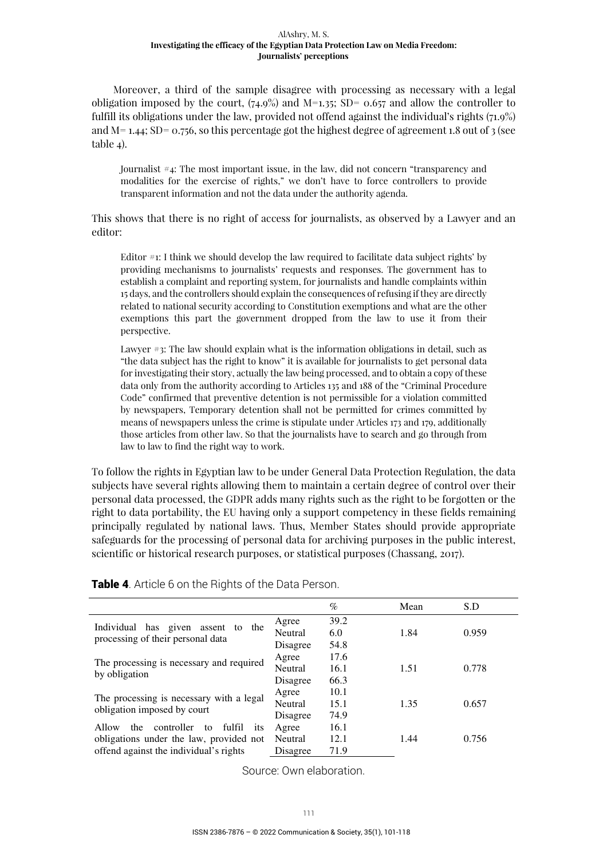Moreover, a third of the sample disagree with processing as necessary with a legal obligation imposed by the court,  $(74.9\%)$  and M=1.35; SD= 0.657 and allow the controller to fulfill its obligations under the law, provided not offend against the individual's rights (71.9%) and  $M= 1.44$ ; SD= 0.756, so this percentage got the highest degree of agreement 1.8 out of 3 (see table 4).

Journalist #4: The most important issue, in the law, did not concern "transparency and modalities for the exercise of rights," we don't have to force controllers to provide transparent information and not the data under the authority agenda.

This shows that there is no right of access for journalists, as observed by a Lawyer and an editor:

Editor #1: I think we should develop the law required to facilitate data subject rights' by providing mechanisms to journalists' requests and responses. The government has to establish a complaint and reporting system, for journalists and handle complaints within 15 days, and the controllers should explain the consequences of refusing if they are directly related to national security according to Constitution exemptions and what are the other exemptions this part the government dropped from the law to use it from their perspective.

Lawyer #3: The law should explain what is the information obligations in detail, such as "the data subject has the right to know" it is available for journalists to get personal data for investigating their story, actually the law being processed, and to obtain a copy of these data only from the authority according to Articles 135 and 188 of the "Criminal Procedure Code" confirmed that preventive detention is not permissible for a violation committed by newspapers, Temporary detention shall not be permitted for crimes committed by means of newspapers unless the crime is stipulate under Articles 173 and 179, additionally those articles from other law. So that the journalists have to search and go through from law to law to find the right way to work.

To follow the rights in Egyptian law to be under General Data Protection Regulation, the data subjects have several rights allowing them to maintain a certain degree of control over their personal data processed, the GDPR adds many rights such as the right to be forgotten or the right to data portability, the EU having only a support competency in these fields remaining principally regulated by national laws. Thus, Member States should provide appropriate safeguards for the processing of personal data for archiving purposes in the public interest, scientific or historical research purposes, or statistical purposes (Chassang, 2017).

|                                                                         |                | $\%$ | Mean | S.D   |
|-------------------------------------------------------------------------|----------------|------|------|-------|
| Individual has given assent to the<br>processing of their personal data | Agree          | 39.2 |      |       |
|                                                                         | <b>Neutral</b> | 6.0  | 1.84 | 0.959 |
|                                                                         | Disagree       | 54.8 |      |       |
| The processing is necessary and required<br>by obligation               | Agree          | 17.6 |      |       |
|                                                                         | Neutral        | 16.1 | 1.51 | 0.778 |
|                                                                         | Disagree       | 66.3 |      |       |
| The processing is necessary with a legal<br>obligation imposed by court | Agree          | 10.1 |      |       |
|                                                                         | Neutral        | 15.1 | 1.35 | 0.657 |
|                                                                         | Disagree       | 74.9 |      |       |
| the<br>Allow<br>controller<br>fulfil<br>to<br><i>its</i>                | Agree          | 16.1 |      |       |
| obligations under the law, provided not                                 | Neutral        | 12.1 | 1.44 | 0.756 |
| offend against the individual's rights                                  | Disagree       | 71.9 |      |       |

# Table 4. Article 6 on the Rights of the Data Person.

Source: Own elaboration.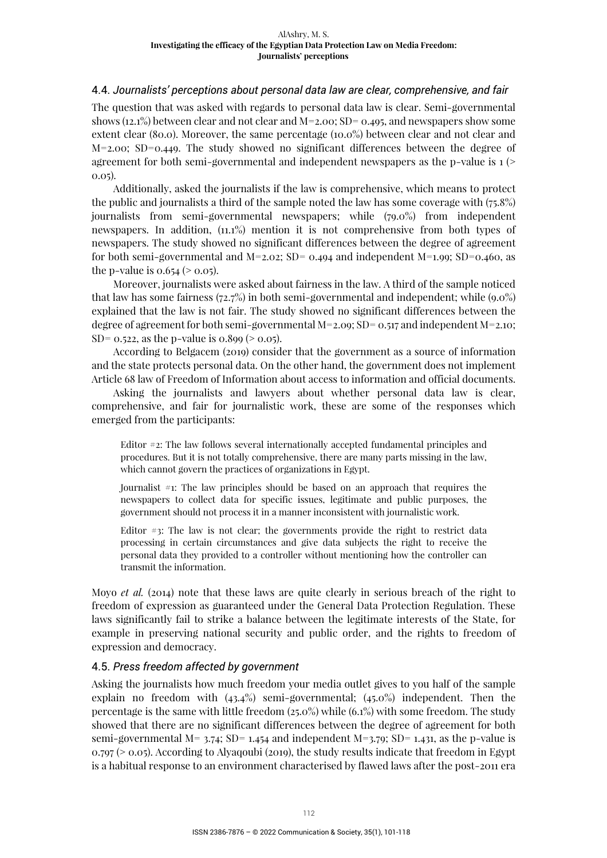## 4.4. *Journalists' perceptions about personal data law are clear, comprehensive, and fair*

The question that was asked with regards to personal data law is clear. Semi-governmental shows (12.1%) between clear and not clear and  $M=2.00$ ; SD= 0.495, and newspapers show some extent clear (80.0). Moreover, the same percentage (10.0%) between clear and not clear and M=2.00; SD=0.449. The study showed no significant differences between the degree of agreement for both semi-governmental and independent newspapers as the p-value is 1 (> 0.05).

Additionally, asked the journalists if the law is comprehensive, which means to protect the public and journalists a third of the sample noted the law has some coverage with (75.8%) journalists from semi-governmental newspapers; while (79.0%) from independent newspapers. In addition, (11.1%) mention it is not comprehensive from both types of newspapers. The study showed no significant differences between the degree of agreement for both semi-governmental and M=2.02; SD= 0.494 and independent M=1.99; SD=0.460, as the p-value is  $0.654 (> 0.05)$ .

Moreover, journalists were asked about fairness in the law. A third of the sample noticed that law has some fairness (72.7%) in both semi-governmental and independent; while (9.0%) explained that the law is not fair. The study showed no significant differences between the degree of agreement for both semi-governmental M=2.09; SD= 0.517 and independent M=2.10; SD=  $0.522$ , as the p-value is  $0.899$  ( $> 0.05$ ).

According to Belgacem (2019) consider that the government as a source of information and the state protects personal data. On the other hand, the government does not implement Article 68 law of Freedom of Information about access to information and official documents.

Asking the journalists and lawyers about whether personal data law is clear, comprehensive, and fair for journalistic work, these are some of the responses which emerged from the participants:

Editor #2: The law follows several internationally accepted fundamental principles and procedures. But it is not totally comprehensive, there are many parts missing in the law, which cannot govern the practices of organizations in Egypt.

Journalist #1: The law principles should be based on an approach that requires the newspapers to collect data for specific issues, legitimate and public purposes, the government should not process it in a manner inconsistent with journalistic work.

Editor  $\#$ 3: The law is not clear; the governments provide the right to restrict data processing in certain circumstances and give data subjects the right to receive the personal data they provided to a controller without mentioning how the controller can transmit the information.

Moyo *et al.* (2014) note that these laws are quite clearly in serious breach of the right to freedom of expression as guaranteed under the General Data Protection Regulation. These laws significantly fail to strike a balance between the legitimate interests of the State, for example in preserving national security and public order, and the rights to freedom of expression and democracy.

### 4.5. *Press freedom affected by government*

Asking the journalists how much freedom your media outlet gives to you half of the sample explain no freedom with (43.4%) semi-governmental; (45.0%) independent. Then the percentage is the same with little freedom (25.0%) while (6.1%) with some freedom. The study showed that there are no significant differences between the degree of agreement for both semi-governmental  $M=$  3.74; SD= 1.454 and independent  $M=$  3.79; SD= 1.431, as the p-value is  $0.797$  ( $> 0.05$ ). According to Alyaqoubi (2019), the study results indicate that freedom in Egypt is a habitual response to an environment characterised by flawed laws after the post-2011 era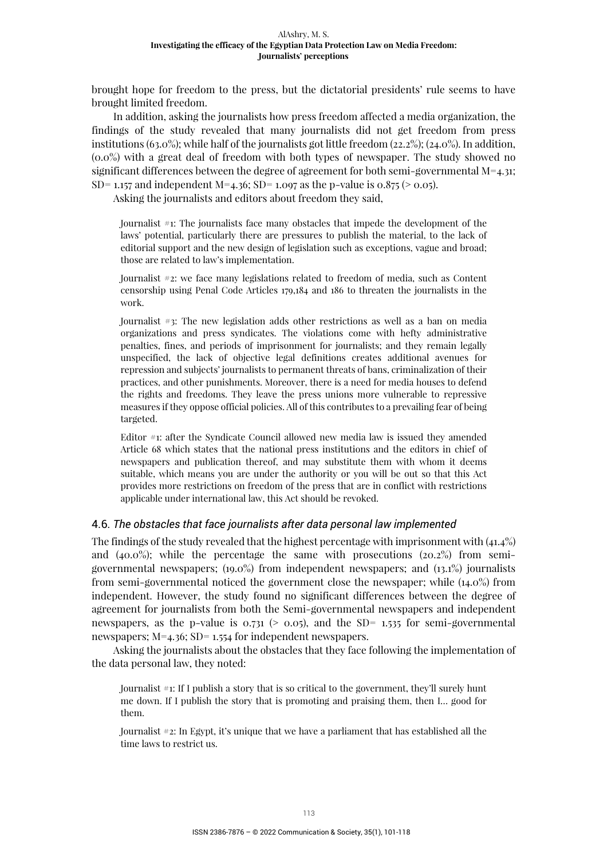brought hope for freedom to the press, but the dictatorial presidents' rule seems to have brought limited freedom.

In addition, asking the journalists how press freedom affected a media organization, the findings of the study revealed that many journalists did not get freedom from press institutions (63.0%); while half of the journalists got little freedom (22.2%); (24.0%). In addition, (0.0%) with a great deal of freedom with both types of newspaper. The study showed no significant differences between the degree of agreement for both semi-governmental  $M=4.31$ ; SD= 1.157 and independent M=4.36; SD= 1.097 as the p-value is 0.875 ( $> 0.05$ ).

Asking the journalists and editors about freedom they said,

Journalist #1: The journalists face many obstacles that impede the development of the laws' potential, particularly there are pressures to publish the material, to the lack of editorial support and the new design of legislation such as exceptions, vague and broad; those are related to law's implementation.

Journalist #2: we face many legislations related to freedom of media, such as Content censorship using Penal Code Articles 179,184 and 186 to threaten the journalists in the work.

Journalist #3: The new legislation adds other restrictions as well as a ban on media organizations and press syndicates. The violations come with hefty administrative penalties, fines, and periods of imprisonment for journalists; and they remain legally unspecified, the lack of objective legal definitions creates additional avenues for repression and subjects' journalists to permanent threats of bans, criminalization of their practices, and other punishments. Moreover, there is a need for media houses to defend the rights and freedoms. They leave the press unions more vulnerable to repressive measures if they oppose official policies. All of this contributes to a prevailing fear of being targeted.

Editor #1: after the Syndicate Council allowed new media law is issued they amended Article 68 which states that the national press institutions and the editors in chief of newspapers and publication thereof, and may substitute them with whom it deems suitable, which means you are under the authority or you will be out so that this Act provides more restrictions on freedom of the press that are in conflict with restrictions applicable under international law, this Act should be revoked.

# 4.6. *The obstacles that face journalists after data personal law implemented*

The findings of the study revealed that the highest percentage with imprisonment with (41.4%) and  $(40.0\%)$ ; while the percentage the same with prosecutions  $(20.2\%)$  from semigovernmental newspapers; (19.0%) from independent newspapers; and (13.1%) journalists from semi-governmental noticed the government close the newspaper; while (14.0%) from independent. However, the study found no significant differences between the degree of agreement for journalists from both the Semi-governmental newspapers and independent newspapers, as the p-value is  $0.731$  ( $> 0.05$ ), and the SD= 1.535 for semi-governmental newspapers;  $M=4.36$ ; SD= 1.554 for independent newspapers.

Asking the journalists about the obstacles that they face following the implementation of the data personal law, they noted:

Journalist #1: If I publish a story that is so critical to the government, they'll surely hunt me down. If I publish the story that is promoting and praising them, then I… good for them.

Journalist #2: In Egypt, it's unique that we have a parliament that has established all the time laws to restrict us.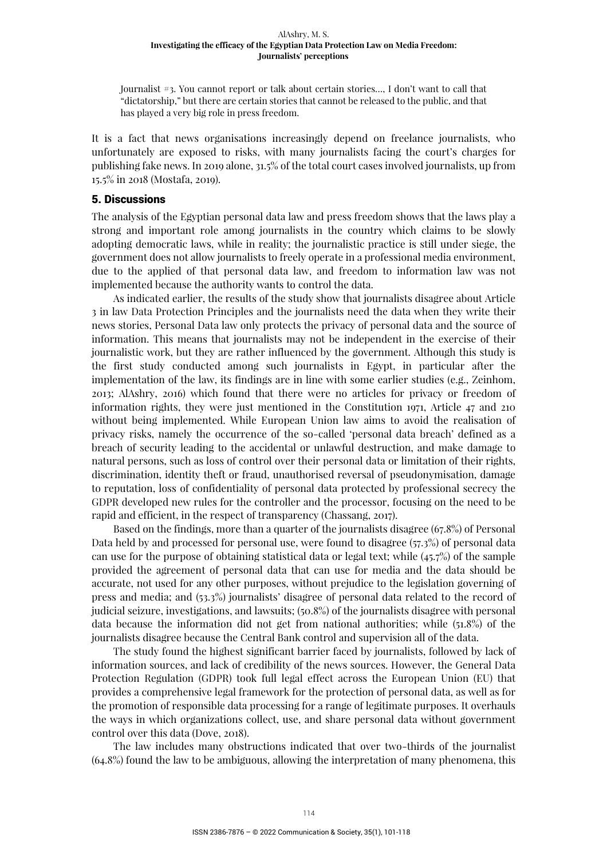Journalist #3. You cannot report or talk about certain stories…, I don't want to call that "dictatorship," but there are certain stories that cannot be released to the public, and that has played a very big role in press freedom.

It is a fact that news organisations increasingly depend on freelance journalists, who unfortunately are exposed to risks, with many journalists facing the court's charges for publishing fake news. In 2019 alone, 31.5% of the total court cases involved journalists, up from 15.5% in 2018 (Mostafa, 2019).

#### 5. Discussions

The analysis of the Egyptian personal data law and press freedom shows that the laws play a strong and important role among journalists in the country which claims to be slowly adopting democratic laws, while in reality; the journalistic practice is still under siege, the government does not allow journalists to freely operate in a professional media environment, due to the applied of that personal data law, and freedom to information law was not implemented because the authority wants to control the data.

As indicated earlier, the results of the study show that journalists disagree about Article 3 in law Data Protection Principles and the journalists need the data when they write their news stories, Personal Data law only protects the privacy of personal data and the source of information. This means that journalists may not be independent in the exercise of their journalistic work, but they are rather influenced by the government. Although this study is the first study conducted among such journalists in Egypt, in particular after the implementation of the law, its findings are in line with some earlier studies (e.g., Zeinhom, 2013; AlAshry, 2016) which found that there were no articles for privacy or freedom of information rights, they were just mentioned in the Constitution 1971, Article 47 and 210 without being implemented. While European Union law aims to avoid the realisation of privacy risks, namely the occurrence of the so-called 'personal data breach' defined as a breach of security leading to the accidental or unlawful destruction, and make damage to natural persons, such as loss of control over their personal data or limitation of their rights, discrimination, identity theft or fraud, unauthorised reversal of pseudonymisation, damage to reputation, loss of confidentiality of personal data protected by professional secrecy the GDPR developed new rules for the controller and the processor, focusing on the need to be rapid and efficient, in the respect of transparency (Chassang, 2017).

Based on the findings, more than a quarter of the journalists disagree (67.8%) of Personal Data held by and processed for personal use, were found to disagree (57.3%) of personal data can use for the purpose of obtaining statistical data or legal text; while (45.7%) of the sample provided the agreement of personal data that can use for media and the data should be accurate, not used for any other purposes, without prejudice to the legislation governing of press and media; and (53.3%) journalists' disagree of personal data related to the record of judicial seizure, investigations, and lawsuits; (50.8%) of the journalists disagree with personal data because the information did not get from national authorities; while (51.8%) of the journalists disagree because the Central Bank control and supervision all of the data.

The study found the highest significant barrier faced by journalists, followed by lack of information sources, and lack of credibility of the news sources. However, the General Data Protection Regulation (GDPR) took full legal effect across the European Union (EU) that provides a comprehensive legal framework for the protection of personal data, as well as for the promotion of responsible data processing for a range of legitimate purposes. It overhauls the ways in which organizations collect, use, and share personal data without government control over this data (Dove, 2018).

The law includes many obstructions indicated that over two-thirds of the journalist (64.8%) found the law to be ambiguous, allowing the interpretation of many phenomena, this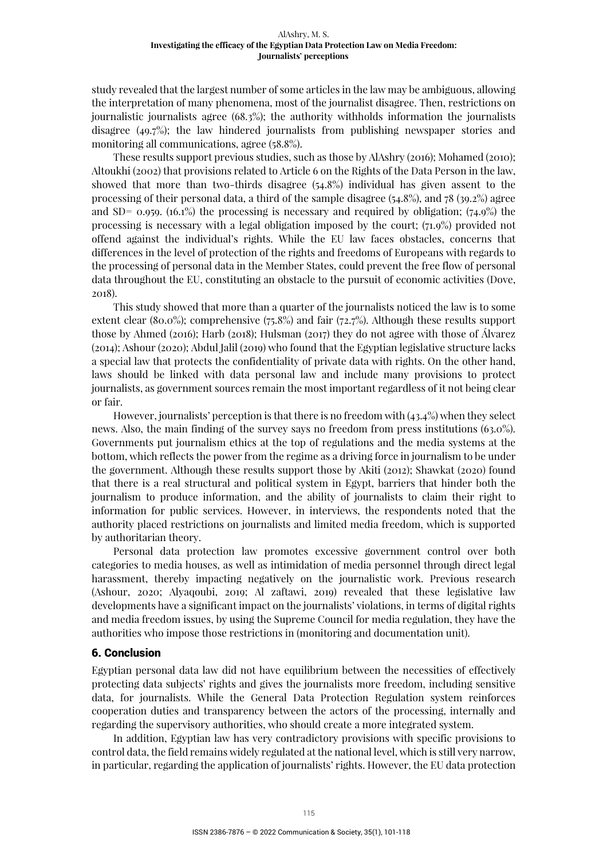study revealed that the largest number of some articles in the law may be ambiguous, allowing the interpretation of many phenomena, most of the journalist disagree. Then, restrictions on journalistic journalists agree (68.3%); the authority withholds information the journalists disagree (49.7%); the law hindered journalists from publishing newspaper stories and monitoring all communications, agree (58.8%).

These results support previous studies, such as those by AlAshry (2016); Mohamed (2010); Altoukhi (2002) that provisions related to Article 6 on the Rights of the Data Person in the law, showed that more than two-thirds disagree (54.8%) individual has given assent to the processing of their personal data, a third of the sample disagree (54.8%), and 78 (39.2%) agree and SD=  $0.959$ . (16.1%) the processing is necessary and required by obligation; (74.9%) the processing is necessary with a legal obligation imposed by the court; (71.9%) provided not offend against the individual's rights. While the EU law faces obstacles, concerns that differences in the level of protection of the rights and freedoms of Europeans with regards to the processing of personal data in the Member States, could prevent the free flow of personal data throughout the EU, constituting an obstacle to the pursuit of economic activities (Dove, 2018).

This study showed that more than a quarter of the journalists noticed the law is to some extent clear (80.0%); comprehensive (75.8%) and fair (72.7%). Although these results support those by Ahmed (2016); Harb (2018); Hulsman (2017) they do not agree with those of Álvarez (2014); Ashour (2020); Abdul Jalil (2019) who found that the Egyptian legislative structure lacks a special law that protects the confidentiality of private data with rights. On the other hand, laws should be linked with data personal law and include many provisions to protect journalists, as government sources remain the most important regardless of it not being clear or fair.

However, journalists' perception is that there is no freedom with (43.4%) when they select news. Also, the main finding of the survey says no freedom from press institutions (63.0%). Governments put journalism ethics at the top of regulations and the media systems at the bottom, which reflects the power from the regime as a driving force in journalism to be under the government. Although these results support those by Akiti (2012); Shawkat (2020) found that there is a real structural and political system in Egypt, barriers that hinder both the journalism to produce information, and the ability of journalists to claim their right to information for public services. However, in interviews, the respondents noted that the authority placed restrictions on journalists and limited media freedom, which is supported by authoritarian theory.

Personal data protection law promotes excessive government control over both categories to media houses, as well as intimidation of media personnel through direct legal harassment, thereby impacting negatively on the journalistic work. Previous research (Ashour, 2020; Alyaqoubi, 2019; Al zaftawi, 2019) revealed that these legislative law developments have a significant impact on the journalists' violations, in terms of digital rights and media freedom issues, by using the Supreme Council for media regulation, they have the authorities who impose those restrictions in (monitoring and documentation unit).

#### 6. Conclusion

Egyptian personal data law did not have equilibrium between the necessities of effectively protecting data subjects' rights and gives the journalists more freedom, including sensitive data, for journalists. While the General Data Protection Regulation system reinforces cooperation duties and transparency between the actors of the processing, internally and regarding the supervisory authorities, who should create a more integrated system.

In addition, Egyptian law has very contradictory provisions with specific provisions to control data, the field remains widely regulated at the national level, which is still very narrow, in particular, regarding the application of journalists' rights. However, the EU data protection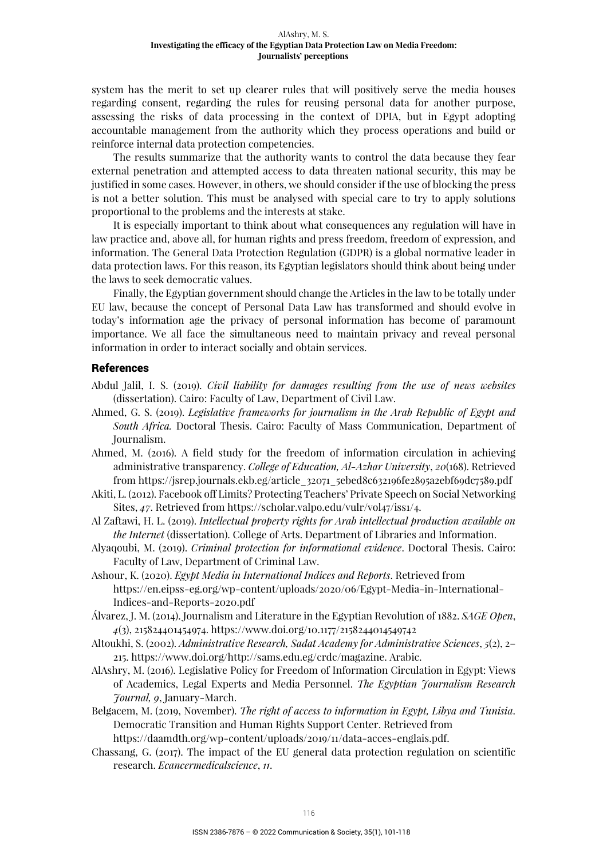system has the merit to set up clearer rules that will positively serve the media houses regarding consent, regarding the rules for reusing personal data for another purpose, assessing the risks of data processing in the context of DPIA, but in Egypt adopting accountable management from the authority which they process operations and build or reinforce internal data protection competencies.

The results summarize that the authority wants to control the data because they fear external penetration and attempted access to data threaten national security, this may be justified in some cases. However, in others, we should consider if the use of blocking the press is not a better solution. This must be analysed with special care to try to apply solutions proportional to the problems and the interests at stake.

It is especially important to think about what consequences any regulation will have in law practice and, above all, for human rights and press freedom, freedom of expression, and information. The General Data Protection Regulation (GDPR) is a global normative leader in data protection laws. For this reason, its Egyptian legislators should think about being under the laws to seek democratic values.

Finally, the Egyptian government should change the Articles in the law to be totally under EU law, because the concept of Personal Data Law has transformed and should evolve in today's information age the privacy of personal information has become of paramount importance. We all face the simultaneous need to maintain privacy and reveal personal information in order to interact socially and obtain services.

#### References

- Abdul Jalil, I. S. (2019). *Civil liability for damages resulting from the use of news websites* (dissertation). Cairo: Faculty of Law, Department of Civil Law.
- Ahmed, G. S. (2019). *Legislative frameworks for journalism in the Arab Republic of Egypt and South Africa.* Doctoral Thesis. Cairo: Faculty of Mass Communication, Department of Journalism.
- Ahmed, M. (2016). A field study for the freedom of information circulation in achieving administrative transparency. *College of Education, Al-Azhar University*, *20*(168). Retrieved from https://jsrep.journals.ekb.eg/article\_32071\_5ebed8c632196fe2895a2ebf69dc7589.pdf
- Akiti, L. (2012). Facebook off Limits? Protecting Teachers' Private Speech on Social Networking Sites, 47. Retrieved from https://scholar.valpo.edu/vulr/vol47/iss1/4.
- Al Zaftawi, H. L. (2019). *Intellectual property rights for Arab intellectual production available on the Internet* (dissertation). College of Arts. Department of Libraries and Information.
- Alyaqoubi, M. (2019). *Criminal protection for informational evidence*. Doctoral Thesis. Cairo: Faculty of Law, Department of Criminal Law.
- Ashour, K. (2020). *Egypt Media in International Indices and Reports*. Retrieved from https://en.eipss-eg.org/wp-content/uploads/2020/06/Egypt-Media-in-International-Indices-and-Reports-2020.pdf
- Álvarez, J. M. (2014). Journalism and Literature in the Egyptian Revolution of 1882. *SAGE Open*, *4*(3), 215824401454974. https://www.doi.org/10.1177/2158244014549742
- Altoukhi, S. (2002). *Administrative Research, Sadat Academy for Administrative Sciences*, *5*(2), 2– 215. https://www.doi.org/http://sams.edu.eg/crdc/magazine. Arabic.
- AlAshry, M. (2016). Legislative Policy for Freedom of Information Circulation in Egypt: Views of Academics, Legal Experts and Media Personnel. *The Egyptian Journalism Research Journal, 9*, January-March.
- Belgacem, M. (2019, November). *The right of access to information in Egypt, Libya and Tunisia*. Democratic Transition and Human Rights Support Center. Retrieved from https://daamdth.org/wp-content/uploads/2019/11/data-acces-englais.pdf.
- Chassang, G. (2017). The impact of the EU general data protection regulation on scientific research. *Ecancermedicalscience*, *11*.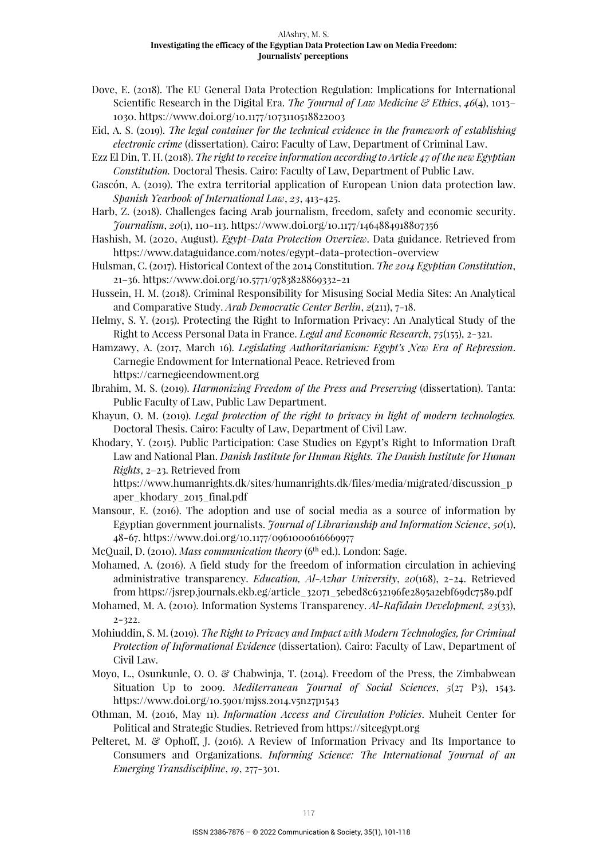- Dove, E. (2018). The EU General Data Protection Regulation: Implications for International Scientific Research in the Digital Era. *The Journal of Law Medicine & Ethics*, *46*(4), 1013– 1030. https://www.doi.org/10.1177/1073110518822003
- Eid, A. S. (2019). *The legal container for the technical evidence in the framework of establishing electronic crime* (dissertation). Cairo: Faculty of Law, Department of Criminal Law.
- Ezz El Din, T. H. (2018). *The right to receive information according to Article 47 of the new Egyptian Constitution.* Doctoral Thesis. Cairo: Faculty of Law, Department of Public Law.
- Gascón, A. (2019). The extra territorial application of European Union data protection law. *Spanish Yearbook of International Law*, *23*, 413-425.
- Harb, Z. (2018). Challenges facing Arab journalism, freedom, safety and economic security. *Journalism*, *20*(1), 110-113. https://www.doi.org/10.1177/1464884918807356
- Hashish, M. (2020, August). *Egypt-Data Protection Overview*. Data guidance. Retrieved from https://www.dataguidance.com/notes/egypt-data-protection-overview
- Hulsman, C. (2017). Historical Context of the 2014 Constitution. *The 2014 Egyptian Constitution*, 21–36. https://www.doi.org/10.5771/9783828869332-21
- Hussein, H. M. (2018). Criminal Responsibility for Misusing Social Media Sites: An Analytical and Comparative Study. *Arab Democratic Center Berlin*, *2*(211), 7-18.
- Helmy, S. Y. (2015). Protecting the Right to Information Privacy: An Analytical Study of the Right to Access Personal Data in France. *Legal and Economic Research*, *75*(155), 2-321.
- Hamzawy, A. (2017, March 16). *Legislating Authoritarianism: Egypt's New Era of Repression*. Carnegie Endowment for International Peace. Retrieved from https://carnegieendowment.org
- Ibrahim, M. S. (2019). *Harmonizing Freedom of the Press and Preserving* (dissertation). Tanta: Public Faculty of Law, Public Law Department.
- Khayun, O. M. (2019). *Legal protection of the right to privacy in light of modern technologies.*  Doctoral Thesis. Cairo: Faculty of Law, Department of Civil Law.
- Khodary, Y. (2015). Public Participation: Case Studies on Egypt's Right to Information Draft Law and National Plan. *Danish Institute for Human Rights. The Danish Institute for Human Rights*, 2–23. Retrieved from

https://www.humanrights.dk/sites/humanrights.dk/files/media/migrated/discussion\_p aper\_khodary\_2015\_final.pdf

- Mansour, E. (2016). The adoption and use of social media as a source of information by Egyptian government journalists. *Journal of Librarianship and Information Science*, *50*(1), 48-67. https://www.doi.org/10.1177/0961000616669977
- McQuail, D. (2010). *Mass communication theory* (6<sup>th</sup> ed.). London: Sage.
- Mohamed, A. (2016). A field study for the freedom of information circulation in achieving administrative transparency. *Education, Al-Azhar University*, *20*(168), 2-24. Retrieved from https://jsrep.journals.ekb.eg/article\_32071\_5ebed8c632196fe2895a2ebf69dc7589.pdf
- Mohamed, M. A. (2010). Information Systems Transparency. *Al-Rafidain Development, 23*(33), 2-322.
- Mohiuddin, S. M. (2019). *The Right to Privacy and Impact with Modern Technologies, for Criminal Protection of Informational Evidence* (dissertation). Cairo: Faculty of Law, Department of Civil Law.
- Moyo, L., Osunkunle, O. O. & Chabwinja, T. (2014). Freedom of the Press, the Zimbabwean Situation Up to 2009. *Mediterranean Journal of Social Sciences*, *5*(27 P3), 1543. https://www.doi.org/10.5901/mjss.2014.v5n27p1543
- Othman, M. (2016, May 11). *Information Access and Circulation Policies*. Muheit Center for Political and Strategic Studies. Retrieved from https://sitcegypt.org
- Pelteret, M. & Ophoff, J. (2016). A Review of Information Privacy and Its Importance to Consumers and Organizations. *Informing Science: The International Journal of an Emerging Transdiscipline*, *19*, 277-301.